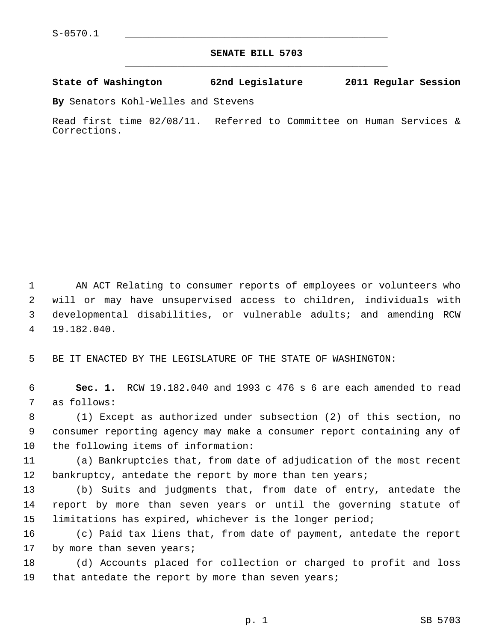## **SENATE BILL 5703** \_\_\_\_\_\_\_\_\_\_\_\_\_\_\_\_\_\_\_\_\_\_\_\_\_\_\_\_\_\_\_\_\_\_\_\_\_\_\_\_\_\_\_\_\_

## **State of Washington 62nd Legislature 2011 Regular Session**

**By** Senators Kohl-Welles and Stevens

Read first time 02/08/11. Referred to Committee on Human Services & Corrections.

 1 AN ACT Relating to consumer reports of employees or volunteers who 2 will or may have unsupervised access to children, individuals with 3 developmental disabilities, or vulnerable adults; and amending RCW 4 19.182.040.

5 BE IT ENACTED BY THE LEGISLATURE OF THE STATE OF WASHINGTON:

 6 **Sec. 1.** RCW 19.182.040 and 1993 c 476 s 6 are each amended to read 7 as follows:

 8 (1) Except as authorized under subsection (2) of this section, no 9 consumer reporting agency may make a consumer report containing any of 10 the following items of information:

11 (a) Bankruptcies that, from date of adjudication of the most recent 12 bankruptcy, antedate the report by more than ten years;

13 (b) Suits and judgments that, from date of entry, antedate the 14 report by more than seven years or until the governing statute of 15 limitations has expired, whichever is the longer period;

16 (c) Paid tax liens that, from date of payment, antedate the report 17 by more than seven years;

18 (d) Accounts placed for collection or charged to profit and loss 19 that antedate the report by more than seven years;

p. 1 SB 5703